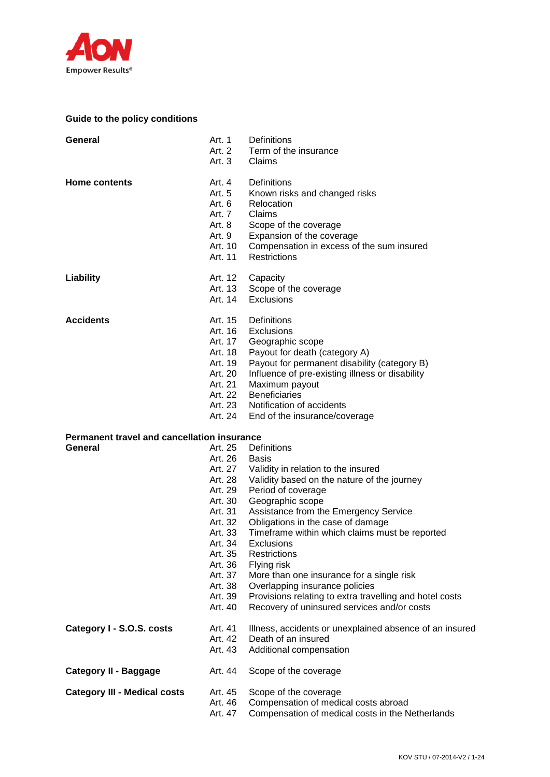

# **Guide to the policy conditions**

| General                                                       | Art. 1<br>Art. 3                                                                                                                                       | Definitions<br>Art. 2 Term of the insurance<br>Claims                                                                                                                                                                                                                                                                                                                                                                                                                                                                                                    |
|---------------------------------------------------------------|--------------------------------------------------------------------------------------------------------------------------------------------------------|----------------------------------------------------------------------------------------------------------------------------------------------------------------------------------------------------------------------------------------------------------------------------------------------------------------------------------------------------------------------------------------------------------------------------------------------------------------------------------------------------------------------------------------------------------|
| <b>Home contents</b>                                          | Art. 4<br>Art. 5<br>Art. 6<br>Art. 7<br>Art. 8<br>Art. 9<br>Art. 10<br>Art. 11                                                                         | Definitions<br>Known risks and changed risks<br>Relocation<br>Claims<br>Scope of the coverage<br>Expansion of the coverage<br>Compensation in excess of the sum insured<br><b>Restrictions</b>                                                                                                                                                                                                                                                                                                                                                           |
| Liability                                                     | Art. 12<br>Art. 13<br>Art. 14                                                                                                                          | Capacity<br>Scope of the coverage<br>Exclusions                                                                                                                                                                                                                                                                                                                                                                                                                                                                                                          |
| <b>Accidents</b>                                              | Art. 16<br>Art. 17<br>Art. 18<br>Art. 19<br>Art. 20<br>Art. 21<br>Art. 24                                                                              | Art. 15 Definitions<br>Exclusions<br>Geographic scope<br>Payout for death (category A)<br>Payout for permanent disability (category B)<br>Influence of pre-existing illness or disability<br>Maximum payout<br>Art. 22 Beneficiaries<br>Art. 23 Notification of accidents<br>End of the insurance/coverage                                                                                                                                                                                                                                               |
| <b>Permanent travel and cancellation insurance</b><br>General | Art. 26<br>Art. 28<br>Art. 29<br>Art. 30<br>Art. 31<br>Art. 32<br>Art. 33<br>Art. 34<br>Art. 35<br>Art. 36<br>Art. 37<br>Art. 38<br>Art. 39<br>Art. 40 | Art. 25 Definitions<br><b>Basis</b><br>Art. 27 Validity in relation to the insured<br>Validity based on the nature of the journey<br>Period of coverage<br>Geographic scope<br>Assistance from the Emergency Service<br>Obligations in the case of damage<br>Timeframe within which claims must be reported<br><b>Exclusions</b><br>Restrictions<br>Flying risk<br>More than one insurance for a single risk<br>Overlapping insurance policies<br>Provisions relating to extra travelling and hotel costs<br>Recovery of uninsured services and/or costs |
| Category I - S.O.S. costs                                     | Art. 41<br>Art. 42<br>Art. 43                                                                                                                          | Illness, accidents or unexplained absence of an insured<br>Death of an insured<br>Additional compensation                                                                                                                                                                                                                                                                                                                                                                                                                                                |
| <b>Category II - Baggage</b>                                  | Art. 44                                                                                                                                                | Scope of the coverage                                                                                                                                                                                                                                                                                                                                                                                                                                                                                                                                    |
| <b>Category III - Medical costs</b>                           | Art. 45<br>Art. 46<br>Art. 47                                                                                                                          | Scope of the coverage<br>Compensation of medical costs abroad<br>Compensation of medical costs in the Netherlands                                                                                                                                                                                                                                                                                                                                                                                                                                        |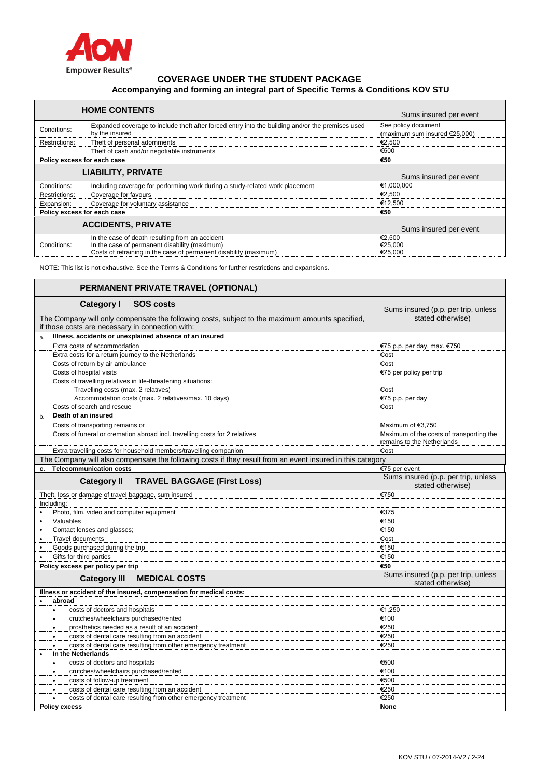

# **COVERAGE UNDER THE STUDENT PACKAGE Accompanying and forming an integral part of Specific Terms & Conditions KOV STU**

| <b>HOME CONTENTS</b>        |                                                                                                                                                                       | Sums insured per event                               |
|-----------------------------|-----------------------------------------------------------------------------------------------------------------------------------------------------------------------|------------------------------------------------------|
| Conditions:                 | Expanded coverage to include theft after forced entry into the building and/or the premises used<br>by the insured                                                    | See policy document<br>(maximum sum insured €25,000) |
| Restrictions:               | Theft of personal adornments                                                                                                                                          | €2.500                                               |
|                             | Theft of cash and/or negotiable instruments                                                                                                                           | €500                                                 |
| Policy excess for each case |                                                                                                                                                                       | €50                                                  |
|                             | <b>LIABILITY, PRIVATE</b>                                                                                                                                             | Sums insured per event                               |
| Conditions:                 | Including coverage for performing work during a study-related work placement                                                                                          | €1,000,000                                           |
| Restrictions:               | Coverage for favours                                                                                                                                                  | €2.500                                               |
| Expansion:                  | Coverage for voluntary assistance                                                                                                                                     | €12,500                                              |
| Policy excess for each case |                                                                                                                                                                       | €50                                                  |
| <b>ACCIDENTS, PRIVATE</b>   |                                                                                                                                                                       | Sums insured per event                               |
| Conditions:                 | In the case of death resulting from an accident<br>In the case of permanent disability (maximum)<br>Costs of retraining in the case of permanent disability (maximum) | €2.500<br>€25,000<br>€25,000                         |

NOTE: This list is not exhaustive. See the Terms & Conditions for further restrictions and expansions.

| PERMANENT PRIVATE TRAVEL (OPTIONAL)                                                                                               |                                                                        |
|-----------------------------------------------------------------------------------------------------------------------------------|------------------------------------------------------------------------|
| Category I<br><b>SOS costs</b><br>The Company will only compensate the following costs, subject to the maximum amounts specified, | Sums insured (p.p. per trip, unless<br>stated otherwise)               |
| if those costs are necessary in connection with:                                                                                  |                                                                        |
| Illness, accidents or unexplained absence of an insured<br>a.                                                                     |                                                                        |
| Extra costs of accommodation                                                                                                      | €75 p.p. per day, max. €750                                            |
| Extra costs for a return journey to the Netherlands                                                                               | Cost                                                                   |
| Costs of return by air ambulance                                                                                                  | Cost                                                                   |
| Costs of hospital visits                                                                                                          | €75 per policy per trip                                                |
| Costs of travelling relatives in life-threatening situations:                                                                     |                                                                        |
| Travelling costs (max. 2 relatives)                                                                                               | Cost                                                                   |
| Accommodation costs (max. 2 relatives/max. 10 days)                                                                               | €75 p.p. per day                                                       |
| Costs of search and rescue                                                                                                        | Cost                                                                   |
| Death of an insured<br>b.                                                                                                         |                                                                        |
| Costs of transporting remains or                                                                                                  | Maximum of €3.750                                                      |
| Costs of funeral or cremation abroad incl. travelling costs for 2 relatives                                                       | Maximum of the costs of transporting the<br>remains to the Netherlands |
| Extra travelling costs for household members/travelling companion                                                                 | Cost                                                                   |
| The Company will also compensate the following costs if they result from an event insured in this category                        |                                                                        |
| <b>Telecommunication costs</b>                                                                                                    | €75 per event                                                          |
| <b>Category II</b><br><b>TRAVEL BAGGAGE (First Loss)</b>                                                                          | Sums insured (p.p. per trip, unless<br>stated otherwise)               |
| Theft, loss or damage of travel baggage, sum insured                                                                              | €750                                                                   |
| Including:                                                                                                                        |                                                                        |
| Photo, film, video and computer equipment<br>$\bullet$                                                                            | €375                                                                   |
| Valuables<br>$\bullet$                                                                                                            | €150                                                                   |
| Contact lenses and glasses;<br>$\bullet$                                                                                          | €150                                                                   |
| Travel documents                                                                                                                  | Cost                                                                   |
| Goods purchased during the trip<br>$\bullet$                                                                                      | €150                                                                   |
| Gifts for third parties<br>$\bullet$                                                                                              | €150                                                                   |
| Policy excess per policy per trip                                                                                                 | €50                                                                    |
| <b>Category III</b><br><b>MEDICAL COSTS</b>                                                                                       | Sums insured (p.p. per trip, unless<br>stated otherwise)               |
| Illness or accident of the insured, compensation for medical costs:                                                               |                                                                        |
| abroad                                                                                                                            |                                                                        |
| costs of doctors and hospitals<br>$\bullet$                                                                                       | €1,250                                                                 |
| crutches/wheelchairs purchased/rented<br>$\bullet$                                                                                | €100                                                                   |
| prosthetics needed as a result of an accident<br>$\bullet$                                                                        | €250                                                                   |
| costs of dental care resulting from an accident<br>$\bullet$                                                                      | €250                                                                   |
| costs of dental care resulting from other emergency treatment<br>$\bullet$                                                        | €250                                                                   |
| In the Netherlands                                                                                                                |                                                                        |
| costs of doctors and hospitals<br>$\bullet$                                                                                       | €500                                                                   |
| crutches/wheelchairs purchased/rented<br>$\bullet$                                                                                | €100                                                                   |
| costs of follow-up treatment<br>$\bullet$                                                                                         | €500                                                                   |
| costs of dental care resulting from an accident                                                                                   | €250                                                                   |
| costs of dental care resulting from other emergency treatment                                                                     | €250                                                                   |
| <b>Policy excess</b>                                                                                                              | None                                                                   |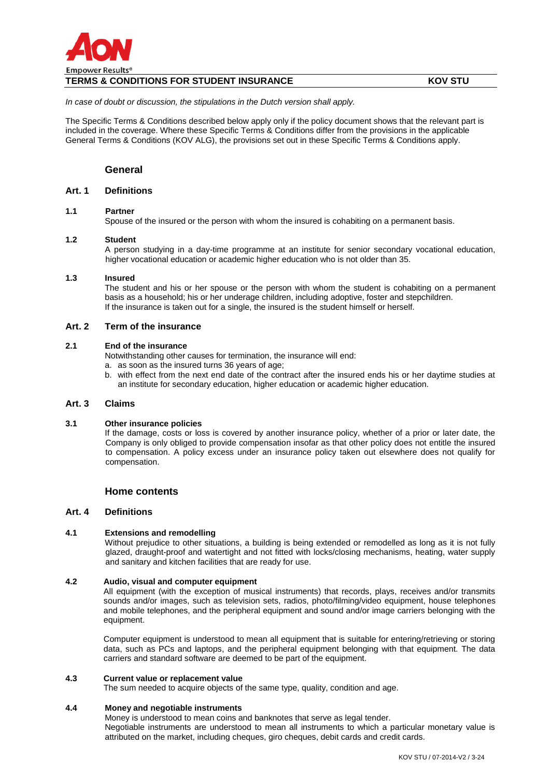

# **TERMS & CONDITIONS FOR STUDENT INSURANCE KOV STU**

*In case of doubt or discussion, the stipulations in the Dutch version shall apply.*

The Specific Terms & Conditions described below apply only if the policy document shows that the relevant part is included in the coverage. Where these Specific Terms & Conditions differ from the provisions in the applicable General Terms & Conditions (KOV ALG), the provisions set out in these Specific Terms & Conditions apply.

## **General**

# **Art. 1 Definitions**

### **1.1 Partner**

Spouse of the insured or the person with whom the insured is cohabiting on a permanent basis.

### **1.2 Student**

A person studying in a day-time programme at an institute for senior secondary vocational education, higher vocational education or academic higher education who is not older than 35.

### **1.3 Insured**

The student and his or her spouse or the person with whom the student is cohabiting on a permanent basis as a household; his or her underage children, including adoptive, foster and stepchildren. If the insurance is taken out for a single, the insured is the student himself or herself.

### **Art. 2 Term of the insurance**

#### **2.1 End of the insurance**

Notwithstanding other causes for termination, the insurance will end:

a. as soon as the insured turns 36 years of age;

b. with effect from the next end date of the contract after the insured ends his or her daytime studies at an institute for secondary education, higher education or academic higher education.

### **Art. 3 Claims**

#### **3.1 Other insurance policies**

If the damage, costs or loss is covered by another insurance policy, whether of a prior or later date, the Company is only obliged to provide compensation insofar as that other policy does not entitle the insured to compensation. A policy excess under an insurance policy taken out elsewhere does not qualify for compensation.

### **Home contents**

### **Art. 4 Definitions**

### **4.1 Extensions and remodelling**

Without prejudice to other situations, a building is being extended or remodelled as long as it is not fully glazed, draught-proof and watertight and not fitted with locks/closing mechanisms, heating, water supply and sanitary and kitchen facilities that are ready for use.

## **4.2 Audio, visual and computer equipment**

All equipment (with the exception of musical instruments) that records, plays, receives and/or transmits sounds and/or images, such as television sets, radios, photo/filming/video equipment, house telephones and mobile telephones, and the peripheral equipment and sound and/or image carriers belonging with the equipment.

Computer equipment is understood to mean all equipment that is suitable for entering/retrieving or storing data, such as PCs and laptops, and the peripheral equipment belonging with that equipment. The data carriers and standard software are deemed to be part of the equipment.

#### **4.3 Current value or replacement value**

The sum needed to acquire objects of the same type, quality, condition and age.

### **4.4 Money and negotiable instruments**

Money is understood to mean coins and banknotes that serve as legal tender. Negotiable instruments are understood to mean all instruments to which a particular monetary value is attributed on the market, including cheques, giro cheques, debit cards and credit cards.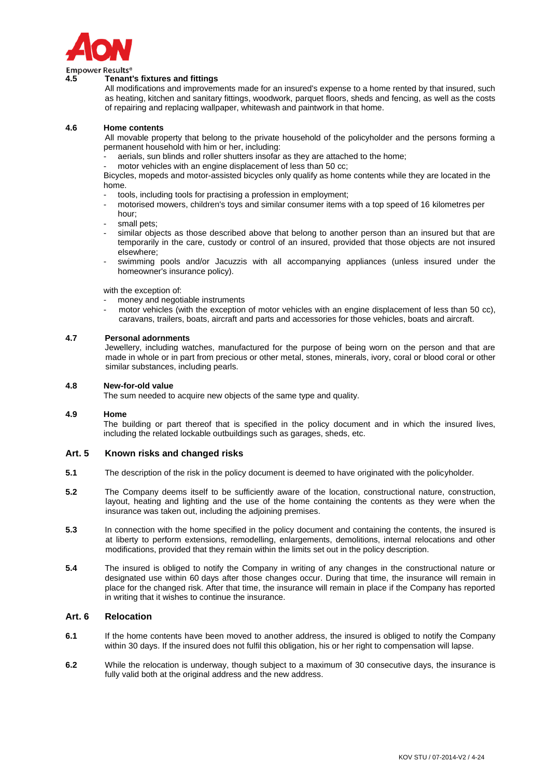

Empower Results<sup>®</sup>

# **4.5 Tenant's fixtures and fittings**

All modifications and improvements made for an insured's expense to a home rented by that insured, such as heating, kitchen and sanitary fittings, woodwork, parquet floors, sheds and fencing, as well as the costs of repairing and replacing wallpaper, whitewash and paintwork in that home.

### **4.6 Home contents**

All movable property that belong to the private household of the policyholder and the persons forming a permanent household with him or her, including:

aerials, sun blinds and roller shutters insofar as they are attached to the home;

motor vehicles with an engine displacement of less than 50 cc;

Bicycles, mopeds and motor-assisted bicycles only qualify as home contents while they are located in the home.

- tools, including tools for practising a profession in employment;
- motorised mowers, children's toys and similar consumer items with a top speed of 16 kilometres per hour;
- small pets:
- similar objects as those described above that belong to another person than an insured but that are temporarily in the care, custody or control of an insured, provided that those objects are not insured elsewhere;
- swimming pools and/or Jacuzzis with all accompanying appliances (unless insured under the homeowner's insurance policy).

with the exception of:

- money and negotiable instruments
- motor vehicles (with the exception of motor vehicles with an engine displacement of less than 50 cc), caravans, trailers, boats, aircraft and parts and accessories for those vehicles, boats and aircraft.

### **4.7 Personal adornments**

Jewellery, including watches, manufactured for the purpose of being worn on the person and that are made in whole or in part from precious or other metal, stones, minerals, ivory, coral or blood coral or other similar substances, including pearls.

#### **4.8 New-for-old value**

The sum needed to acquire new objects of the same type and quality.

#### **4.9 Home**

The building or part thereof that is specified in the policy document and in which the insured lives, including the related lockable outbuildings such as garages, sheds, etc.

### **Art. 5 Known risks and changed risks**

- **5.1** The description of the risk in the policy document is deemed to have originated with the policyholder.
- **5.2** The Company deems itself to be sufficiently aware of the location, constructional nature, construction, layout, heating and lighting and the use of the home containing the contents as they were when the insurance was taken out, including the adjoining premises.
- **5.3** In connection with the home specified in the policy document and containing the contents, the insured is at liberty to perform extensions, remodelling, enlargements, demolitions, internal relocations and other modifications, provided that they remain within the limits set out in the policy description.
- **5.4** The insured is obliged to notify the Company in writing of any changes in the constructional nature or designated use within 60 days after those changes occur. During that time, the insurance will remain in place for the changed risk. After that time, the insurance will remain in place if the Company has reported in writing that it wishes to continue the insurance.

### **Art. 6 Relocation**

- **6.1** If the home contents have been moved to another address, the insured is obliged to notify the Company within 30 days. If the insured does not fulfil this obligation, his or her right to compensation will lapse.
- **6.2** While the relocation is underway, though subject to a maximum of 30 consecutive days, the insurance is fully valid both at the original address and the new address.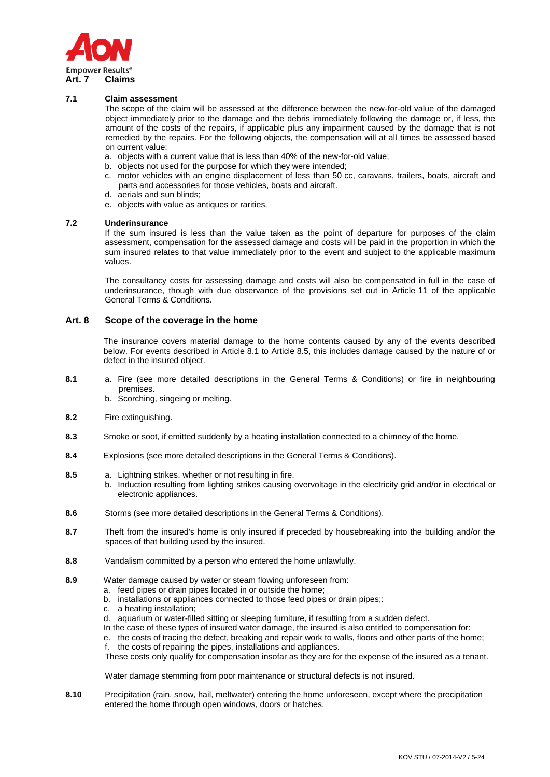

### **7.1 Claim assessment**

The scope of the claim will be assessed at the difference between the new-for-old value of the damaged object immediately prior to the damage and the debris immediately following the damage or, if less, the amount of the costs of the repairs, if applicable plus any impairment caused by the damage that is not remedied by the repairs. For the following objects, the compensation will at all times be assessed based on current value:

- a. objects with a current value that is less than 40% of the new-for-old value;
- b. objects not used for the purpose for which they were intended;
- c. motor vehicles with an engine displacement of less than 50 cc, caravans, trailers, boats, aircraft and parts and accessories for those vehicles, boats and aircraft.
- d. aerials and sun blinds;
	- e. objects with value as antiques or rarities.

#### **7.2 Underinsurance**

If the sum insured is less than the value taken as the point of departure for purposes of the claim assessment, compensation for the assessed damage and costs will be paid in the proportion in which the sum insured relates to that value immediately prior to the event and subject to the applicable maximum values.

The consultancy costs for assessing damage and costs will also be compensated in full in the case of underinsurance, though with due observance of the provisions set out in Article 11 of the applicable General Terms & Conditions.

#### **Art. 8 Scope of the coverage in the home**

The insurance covers material damage to the home contents caused by any of the events described below. For events described in Article 8.1 to Article 8.5, this includes damage caused by the nature of or defect in the insured object.

- **8.1** a. Fire (see more detailed descriptions in the General Terms & Conditions) or fire in neighbouring premises.
	- b. Scorching, singeing or melting.
- **8.2** Fire extinguishing.
- **8.3** Smoke or soot, if emitted suddenly by a heating installation connected to a chimney of the home.
- **8.4** Explosions (see more detailed descriptions in the General Terms & Conditions).
- **8.5** a. Lightning strikes, whether or not resulting in fire.
	- b. Induction resulting from lighting strikes causing overvoltage in the electricity grid and/or in electrical or electronic appliances.
- **8.6** Storms (see more detailed descriptions in the General Terms & Conditions).
- **8.7** Theft from the insured's home is only insured if preceded by housebreaking into the building and/or the spaces of that building used by the insured.
- **8.8** Vandalism committed by a person who entered the home unlawfully.
- **8.9** Water damage caused by water or steam flowing unforeseen from:
	- a. feed pipes or drain pipes located in or outside the home;
	- b. installations or appliances connected to those feed pipes or drain pipes;:
	- c. a heating installation;
	- d. aquarium or water-filled sitting or sleeping furniture, if resulting from a sudden defect.
	- In the case of these types of insured water damage, the insured is also entitled to compensation for:
	- e. the costs of tracing the defect, breaking and repair work to walls, floors and other parts of the home;
	- the costs of repairing the pipes, installations and appliances.

These costs only qualify for compensation insofar as they are for the expense of the insured as a tenant.

Water damage stemming from poor maintenance or structural defects is not insured.

**8.10** Precipitation (rain, snow, hail, meltwater) entering the home unforeseen, except where the precipitation entered the home through open windows, doors or hatches.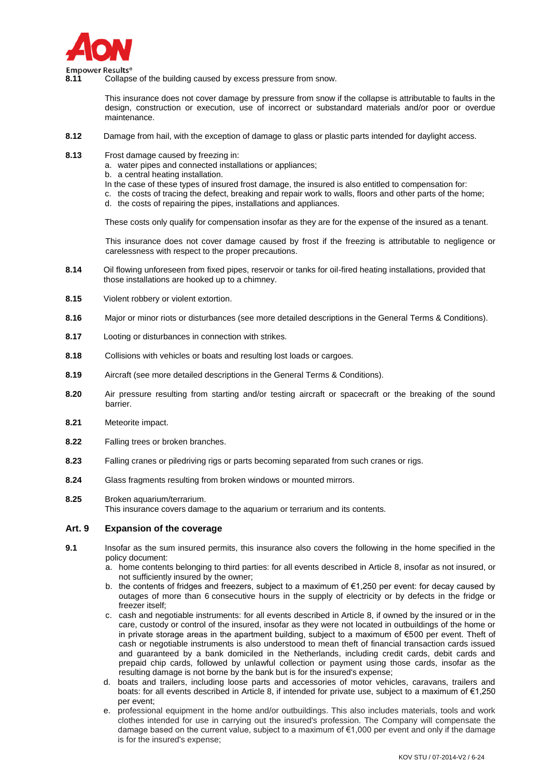

**8.11** Collapse of the building caused by excess pressure from snow.

This insurance does not cover damage by pressure from snow if the collapse is attributable to faults in the design, construction or execution, use of incorrect or substandard materials and/or poor or overdue maintenance.

- **8.12** Damage from hail, with the exception of damage to glass or plastic parts intended for daylight access.
- **8.13** Frost damage caused by freezing in:
	- a. water pipes and connected installations or appliances;
	- b. a central heating installation.
	- In the case of these types of insured frost damage, the insured is also entitled to compensation for:
	- c. the costs of tracing the defect, breaking and repair work to walls, floors and other parts of the home;
	- d. the costs of repairing the pipes, installations and appliances.

These costs only qualify for compensation insofar as they are for the expense of the insured as a tenant.

This insurance does not cover damage caused by frost if the freezing is attributable to negligence or carelessness with respect to the proper precautions.

- **8.14** Oil flowing unforeseen from fixed pipes, reservoir or tanks for oil-fired heating installations, provided that those installations are hooked up to a chimney.
- **8.15** Violent robbery or violent extortion.
- **8.16** Major or minor riots or disturbances (see more detailed descriptions in the General Terms & Conditions).
- **8.17** Looting or disturbances in connection with strikes.
- **8.18** Collisions with vehicles or boats and resulting lost loads or cargoes.
- **8.19** Aircraft (see more detailed descriptions in the General Terms & Conditions).
- **8.20** Air pressure resulting from starting and/or testing aircraft or spacecraft or the breaking of the sound barrier.
- **8.21** Meteorite impact.
- **8.22** Falling trees or broken branches.
- **8.23** Falling cranes or piledriving rigs or parts becoming separated from such cranes or rigs.
- **8.24** Glass fragments resulting from broken windows or mounted mirrors.
- **8.25** Broken aquarium/terrarium. This insurance covers damage to the aquarium or terrarium and its contents.

### **Art. 9 Expansion of the coverage**

- **9.1** Insofar as the sum insured permits, this insurance also covers the following in the home specified in the policy document:
	- a. home contents belonging to third parties: for all events described in Article 8, insofar as not insured, or not sufficiently insured by the owner;
	- b. the contents of fridges and freezers, subject to a maximum of  $\epsilon$ 1,250 per event: for decay caused by outages of more than 6 consecutive hours in the supply of electricity or by defects in the fridge or freezer itself;
	- c. cash and negotiable instruments: for all events described in Article 8, if owned by the insured or in the care, custody or control of the insured, insofar as they were not located in outbuildings of the home or in private storage areas in the apartment building, subject to a maximum of €500 per event. Theft of cash or negotiable instruments is also understood to mean theft of financial transaction cards issued and guaranteed by a bank domiciled in the Netherlands, including credit cards, debit cards and prepaid chip cards, followed by unlawful collection or payment using those cards, insofar as the resulting damage is not borne by the bank but is for the insured's expense;
	- d. boats and trailers, including loose parts and accessories of motor vehicles, caravans, trailers and boats: for all events described in Article 8, if intended for private use, subject to a maximum of €1,250 per event;
	- e. professional equipment in the home and/or outbuildings. This also includes materials, tools and work clothes intended for use in carrying out the insured's profession. The Company will compensate the damage based on the current value, subject to a maximum of  $\epsilon$ 1,000 per event and only if the damage is for the insured's expense;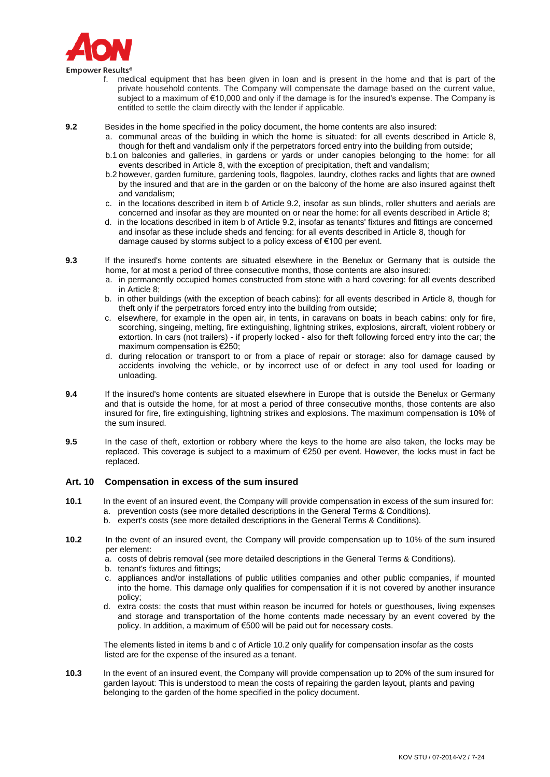

- f. medical equipment that has been given in loan and is present in the home and that is part of the private household contents. The Company will compensate the damage based on the current value, subject to a maximum of €10,000 and only if the damage is for the insured's expense. The Company is entitled to settle the claim directly with the lender if applicable.
- **9.2** Besides in the home specified in the policy document, the home contents are also insured:
	- a. communal areas of the building in which the home is situated: for all events described in Article 8, though for theft and vandalism only if the perpetrators forced entry into the building from outside;
	- b.1 on balconies and galleries, in gardens or yards or under canopies belonging to the home: for all events described in Article 8, with the exception of precipitation, theft and vandalism;
	- b.2 however, garden furniture, gardening tools, flagpoles, laundry, clothes racks and lights that are owned by the insured and that are in the garden or on the balcony of the home are also insured against theft and vandalism;
	- c. in the locations described in item b of Article 9.2, insofar as sun blinds, roller shutters and aerials are concerned and insofar as they are mounted on or near the home: for all events described in Article 8;
	- d. in the locations described in item b of Article 9.2, insofar as tenants' fixtures and fittings are concerned and insofar as these include sheds and fencing: for all events described in Article 8, though for damage caused by storms subject to a policy excess of €100 per event.
- **9.3** If the insured's home contents are situated elsewhere in the Benelux or Germany that is outside the home, for at most a period of three consecutive months, those contents are also insured:
	- a. in permanently occupied homes constructed from stone with a hard covering: for all events described in Article 8;
	- b. in other buildings (with the exception of beach cabins): for all events described in Article 8, though for theft only if the perpetrators forced entry into the building from outside;
	- c. elsewhere, for example in the open air, in tents, in caravans on boats in beach cabins: only for fire, scorching, singeing, melting, fire extinguishing, lightning strikes, explosions, aircraft, violent robbery or extortion. In cars (not trailers) - if properly locked - also for theft following forced entry into the car; the maximum compensation is €250;
	- d. during relocation or transport to or from a place of repair or storage: also for damage caused by accidents involving the vehicle, or by incorrect use of or defect in any tool used for loading or unloading.
- **9.4** If the insured's home contents are situated elsewhere in Europe that is outside the Benelux or Germany and that is outside the home, for at most a period of three consecutive months, those contents are also insured for fire, fire extinguishing, lightning strikes and explosions. The maximum compensation is 10% of the sum insured.
- **9.5** In the case of theft, extortion or robbery where the keys to the home are also taken, the locks may be replaced. This coverage is subject to a maximum of €250 per event. However, the locks must in fact be replaced.

## **Art. 10 Compensation in excess of the sum insured**

- **10.1** In the event of an insured event, the Company will provide compensation in excess of the sum insured for: a. prevention costs (see more detailed descriptions in the General Terms & Conditions).
	- b. expert's costs (see more detailed descriptions in the General Terms & Conditions).
- **10.2** In the event of an insured event, the Company will provide compensation up to 10% of the sum insured per element:
	- a. costs of debris removal (see more detailed descriptions in the General Terms & Conditions).
	- b. tenant's fixtures and fittings;
	- c. appliances and/or installations of public utilities companies and other public companies, if mounted into the home. This damage only qualifies for compensation if it is not covered by another insurance policy;
	- d. extra costs: the costs that must within reason be incurred for hotels or guesthouses, living expenses and storage and transportation of the home contents made necessary by an event covered by the policy. In addition, a maximum of €500 will be paid out for necessary costs.

The elements listed in items b and c of Article 10.2 only qualify for compensation insofar as the costs listed are for the expense of the insured as a tenant.

**10.3** In the event of an insured event, the Company will provide compensation up to 20% of the sum insured for garden layout: This is understood to mean the costs of repairing the garden layout, plants and paving belonging to the garden of the home specified in the policy document.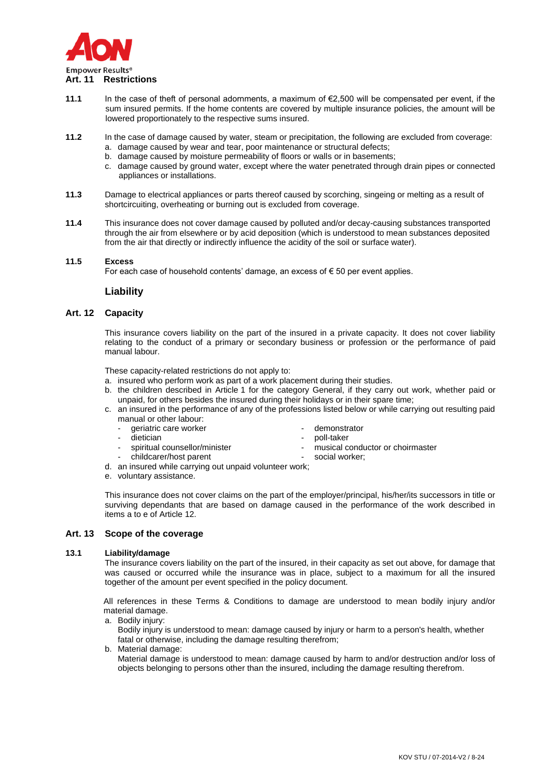

- **11.1** In the case of theft of personal adornments, a maximum of €2,500 will be compensated per event, if the sum insured permits. If the home contents are covered by multiple insurance policies, the amount will be lowered proportionately to the respective sums insured.
- **11.2** In the case of damage caused by water, steam or precipitation, the following are excluded from coverage:
	- a. damage caused by wear and tear, poor maintenance or structural defects;
	- b. damage caused by moisture permeability of floors or walls or in basements;
		- c. damage caused by ground water, except where the water penetrated through drain pipes or connected appliances or installations.
- **11.3** Damage to electrical appliances or parts thereof caused by scorching, singeing or melting as a result of shortcircuiting, overheating or burning out is excluded from coverage.
- **11.4** This insurance does not cover damage caused by polluted and/or decay-causing substances transported through the air from elsewhere or by acid deposition (which is understood to mean substances deposited from the air that directly or indirectly influence the acidity of the soil or surface water).

### **11.5 Excess**

For each case of household contents' damage, an excess of  $\epsilon$  50 per event applies.

### **Liability**

### **Art. 12 Capacity**

This insurance covers liability on the part of the insured in a private capacity. It does not cover liability relating to the conduct of a primary or secondary business or profession or the performance of paid manual labour.

These capacity-related restrictions do not apply to:

- a. insured who perform work as part of a work placement during their studies.
- b. the children described in Article 1 for the category General, if they carry out work, whether paid or unpaid, for others besides the insured during their holidays or in their spare time;
- c. an insured in the performance of any of the professions listed below or while carrying out resulting paid manual or other labour:
	- qeriatric care worker example that the demonstrator
	- dietician poll-taker
	-
- 
- 
- spiritual counsellor/minister musical conductor or choirmaster
	- childcarer/host parent social worker;
- d. an insured while carrying out unpaid volunteer work;
- e. voluntary assistance.

This insurance does not cover claims on the part of the employer/principal, his/her/its successors in title or surviving dependants that are based on damage caused in the performance of the work described in items a to e of Article 12.

### **Art. 13 Scope of the coverage**

### **13.1 Liability/damage**

The insurance covers liability on the part of the insured, in their capacity as set out above, for damage that was caused or occurred while the insurance was in place, subject to a maximum for all the insured together of the amount per event specified in the policy document.

All references in these Terms & Conditions to damage are understood to mean bodily injury and/or material damage.

- a. Bodily injury: Bodily injury is understood to mean: damage caused by injury or harm to a person's health, whether fatal or otherwise, including the damage resulting therefrom;
- b. Material damage: Material damage is understood to mean: damage caused by harm to and/or destruction and/or loss of objects belonging to persons other than the insured, including the damage resulting therefrom.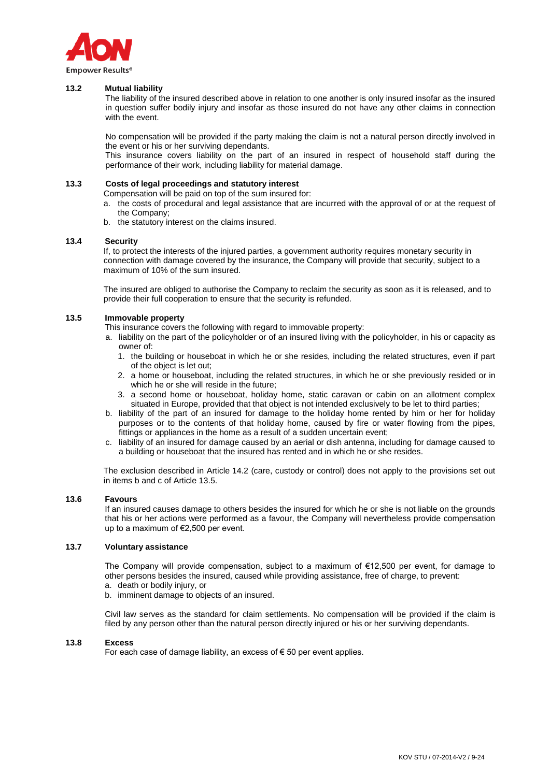

### **13.2 Mutual liability**

The liability of the insured described above in relation to one another is only insured insofar as the insured in question suffer bodily injury and insofar as those insured do not have any other claims in connection with the event.

No compensation will be provided if the party making the claim is not a natural person directly involved in the event or his or her surviving dependants.

This insurance covers liability on the part of an insured in respect of household staff during the performance of their work, including liability for material damage.

#### **13.3 Costs of legal proceedings and statutory interest**

Compensation will be paid on top of the sum insured for:

- a. the costs of procedural and legal assistance that are incurred with the approval of or at the request of the Company;
- b. the statutory interest on the claims insured.

#### **13.4 Security**

If, to protect the interests of the injured parties, a government authority requires monetary security in connection with damage covered by the insurance, the Company will provide that security, subject to a maximum of 10% of the sum insured.

The insured are obliged to authorise the Company to reclaim the security as soon as it is released, and to provide their full cooperation to ensure that the security is refunded.

#### **13.5 Immovable property**

This insurance covers the following with regard to immovable property:

- a. liability on the part of the policyholder or of an insured living with the policyholder, in his or capacity as owner of:
	- 1. the building or houseboat in which he or she resides, including the related structures, even if part of the object is let out;
	- 2. a home or houseboat, including the related structures, in which he or she previously resided or in which he or she will reside in the future;
	- 3. a second home or houseboat, holiday home, static caravan or cabin on an allotment complex situated in Europe, provided that that object is not intended exclusively to be let to third parties;
- b. liability of the part of an insured for damage to the holiday home rented by him or her for holiday purposes or to the contents of that holiday home, caused by fire or water flowing from the pipes, fittings or appliances in the home as a result of a sudden uncertain event;
- c. liability of an insured for damage caused by an aerial or dish antenna, including for damage caused to a building or houseboat that the insured has rented and in which he or she resides.

The exclusion described in Article 14.2 (care, custody or control) does not apply to the provisions set out in items b and c of Article 13.5.

#### **13.6 Favours**

If an insured causes damage to others besides the insured for which he or she is not liable on the grounds that his or her actions were performed as a favour, the Company will nevertheless provide compensation up to a maximum of €2,500 per event.

### **13.7 Voluntary assistance**

The Company will provide compensation, subject to a maximum of €12,500 per event, for damage to other persons besides the insured, caused while providing assistance, free of charge, to prevent:

- a. death or bodily injury, or
- b. imminent damage to objects of an insured.

Civil law serves as the standard for claim settlements. No compensation will be provided if the claim is filed by any person other than the natural person directly injured or his or her surviving dependants.

#### **13.8 Excess**

For each case of damage liability, an excess of  $\epsilon$  50 per event applies.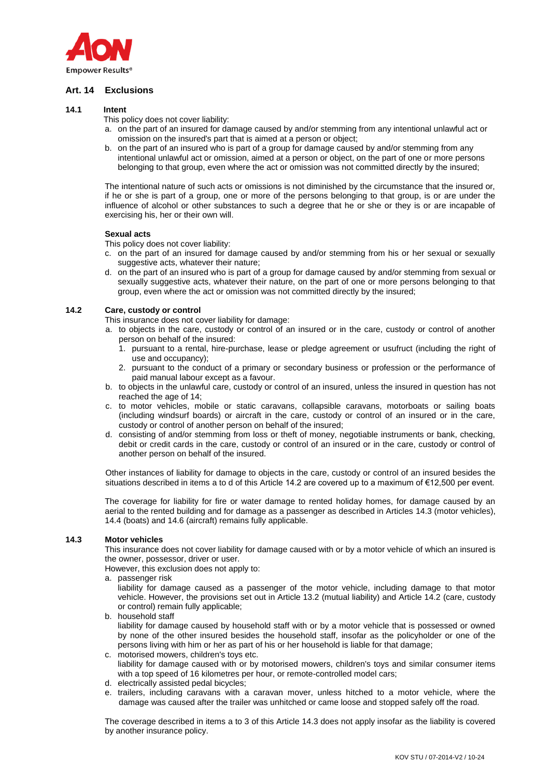

# **Art. 14 Exclusions**

### **14.1 Intent**

This policy does not cover liability:

- a. on the part of an insured for damage caused by and/or stemming from any intentional unlawful act or omission on the insured's part that is aimed at a person or object;
- b. on the part of an insured who is part of a group for damage caused by and/or stemming from any intentional unlawful act or omission, aimed at a person or object, on the part of one or more persons belonging to that group, even where the act or omission was not committed directly by the insured;

The intentional nature of such acts or omissions is not diminished by the circumstance that the insured or, if he or she is part of a group, one or more of the persons belonging to that group, is or are under the influence of alcohol or other substances to such a degree that he or she or they is or are incapable of exercising his, her or their own will.

### **Sexual acts**

This policy does not cover liability:

- c. on the part of an insured for damage caused by and/or stemming from his or her sexual or sexually suggestive acts, whatever their nature;
- d. on the part of an insured who is part of a group for damage caused by and/or stemming from sexual or sexually suggestive acts, whatever their nature, on the part of one or more persons belonging to that group, even where the act or omission was not committed directly by the insured;

### **14.2 Care, custody or control**

- This insurance does not cover liability for damage:
- a. to objects in the care, custody or control of an insured or in the care, custody or control of another person on behalf of the insured:
	- 1. pursuant to a rental, hire-purchase, lease or pledge agreement or usufruct (including the right of use and occupancy);
	- 2. pursuant to the conduct of a primary or secondary business or profession or the performance of paid manual labour except as a favour.
- b. to objects in the unlawful care, custody or control of an insured, unless the insured in question has not reached the age of 14;
- c. to motor vehicles, mobile or static caravans, collapsible caravans, motorboats or sailing boats (including windsurf boards) or aircraft in the care, custody or control of an insured or in the care, custody or control of another person on behalf of the insured;
- d. consisting of and/or stemming from loss or theft of money, negotiable instruments or bank, checking, debit or credit cards in the care, custody or control of an insured or in the care, custody or control of another person on behalf of the insured.

Other instances of liability for damage to objects in the care, custody or control of an insured besides the situations described in items a to d of this Article 14.2 are covered up to a maximum of €12,500 per event.

The coverage for liability for fire or water damage to rented holiday homes, for damage caused by an aerial to the rented building and for damage as a passenger as described in Articles 14.3 (motor vehicles), 14.4 (boats) and 14.6 (aircraft) remains fully applicable.

### **14.3 Motor vehicles**

This insurance does not cover liability for damage caused with or by a motor vehicle of which an insured is the owner, possessor, driver or user.

However, this exclusion does not apply to:

a. passenger risk

liability for damage caused as a passenger of the motor vehicle, including damage to that motor vehicle. However, the provisions set out in Article 13.2 (mutual liability) and Article 14.2 (care, custody or control) remain fully applicable;

- b. household staff liability for damage caused by household staff with or by a motor vehicle that is possessed or owned by none of the other insured besides the household staff, insofar as the policyholder or one of the persons living with him or her as part of his or her household is liable for that damage;
- c. motorised mowers, children's toys etc. liability for damage caused with or by motorised mowers, children's toys and similar consumer items with a top speed of 16 kilometres per hour, or remote-controlled model cars;
- d. electrically assisted pedal bicycles;
- e. trailers, including caravans with a caravan mover, unless hitched to a motor vehicle, where the damage was caused after the trailer was unhitched or came loose and stopped safely off the road.

The coverage described in items a to 3 of this Article 14.3 does not apply insofar as the liability is covered by another insurance policy.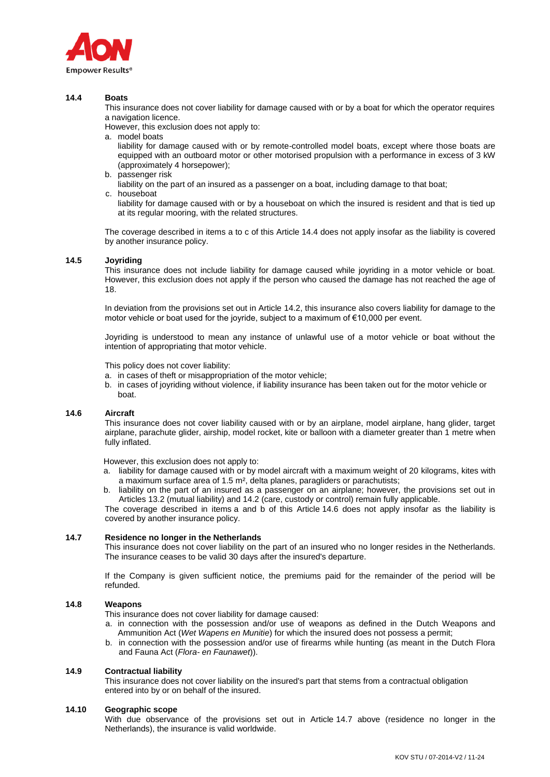

### **14.4 Boats**

This insurance does not cover liability for damage caused with or by a boat for which the operator requires a navigation licence.

However, this exclusion does not apply to:

a. model boats

liability for damage caused with or by remote-controlled model boats, except where those boats are equipped with an outboard motor or other motorised propulsion with a performance in excess of 3 kW (approximately 4 horsepower);

- b. passenger risk
	- liability on the part of an insured as a passenger on a boat, including damage to that boat;
- c. houseboat

liability for damage caused with or by a houseboat on which the insured is resident and that is tied up at its regular mooring, with the related structures.

The coverage described in items a to c of this Article 14.4 does not apply insofar as the liability is covered by another insurance policy.

### **14.5 Joyriding**

This insurance does not include liability for damage caused while joyriding in a motor vehicle or boat. However, this exclusion does not apply if the person who caused the damage has not reached the age of 18.

In deviation from the provisions set out in Article 14.2, this insurance also covers liability for damage to the motor vehicle or boat used for the joyride, subject to a maximum of €10,000 per event.

Joyriding is understood to mean any instance of unlawful use of a motor vehicle or boat without the intention of appropriating that motor vehicle.

This policy does not cover liability:

- a. in cases of theft or misappropriation of the motor vehicle;
- b. in cases of joyriding without violence, if liability insurance has been taken out for the motor vehicle or boat.

### **14.6 Aircraft**

This insurance does not cover liability caused with or by an airplane, model airplane, hang glider, target airplane, parachute glider, airship, model rocket, kite or balloon with a diameter greater than 1 metre when fully inflated.

However, this exclusion does not apply to:

- a. liability for damage caused with or by model aircraft with a maximum weight of 20 kilograms, kites with a maximum surface area of 1.5 m², delta planes, paragliders or parachutists;
- b. liability on the part of an insured as a passenger on an airplane; however, the provisions set out in Articles 13.2 (mutual liability) and 14.2 (care, custody or control) remain fully applicable.

The coverage described in items a and b of this Article 14.6 does not apply insofar as the liability is covered by another insurance policy.

### **14.7 Residence no longer in the Netherlands**

This insurance does not cover liability on the part of an insured who no longer resides in the Netherlands. The insurance ceases to be valid 30 days after the insured's departure.

If the Company is given sufficient notice, the premiums paid for the remainder of the period will be refunded.

### **14.8 Weapons**

This insurance does not cover liability for damage caused:

- a. in connection with the possession and/or use of weapons as defined in the Dutch Weapons and Ammunition Act (*Wet Wapens en Munitie*) for which the insured does not possess a permit;
- b. in connection with the possession and/or use of firearms while hunting (as meant in the Dutch Flora and Fauna Act (*Flora- en Faunawet*)).

### **14.9 Contractual liability**

This insurance does not cover liability on the insured's part that stems from a contractual obligation entered into by or on behalf of the insured.

### **14.10 Geographic scope**

With due observance of the provisions set out in Article 14.7 above (residence no longer in the Netherlands), the insurance is valid worldwide.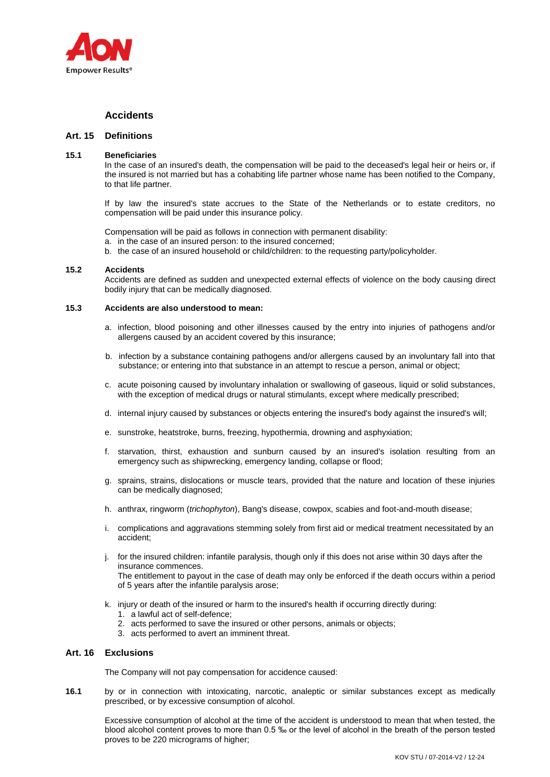

# **Accidents**

# **Art. 15 Definitions**

### **15.1 Beneficiaries**

In the case of an insured's death, the compensation will be paid to the deceased's legal heir or heirs or, if the insured is not married but has a cohabiting life partner whose name has been notified to the Company, to that life partner.

If by law the insured's state accrues to the State of the Netherlands or to estate creditors, no compensation will be paid under this insurance policy.

Compensation will be paid as follows in connection with permanent disability:

- a. in the case of an insured person: to the insured concerned;
- b. the case of an insured household or child/children: to the requesting party/policyholder.

### **15.2 Accidents**

Accidents are defined as sudden and unexpected external effects of violence on the body causing direct bodily injury that can be medically diagnosed.

# **15.3 Accidents are also understood to mean:**

- a. infection, blood poisoning and other illnesses caused by the entry into injuries of pathogens and/or allergens caused by an accident covered by this insurance;
- b. infection by a substance containing pathogens and/or allergens caused by an involuntary fall into that substance; or entering into that substance in an attempt to rescue a person, animal or object;
- c. acute poisoning caused by involuntary inhalation or swallowing of gaseous, liquid or solid substances, with the exception of medical drugs or natural stimulants, except where medically prescribed;
- d. internal injury caused by substances or objects entering the insured's body against the insured's will;
- e. sunstroke, heatstroke, burns, freezing, hypothermia, drowning and asphyxiation;
- f. starvation, thirst, exhaustion and sunburn caused by an insured's isolation resulting from an emergency such as shipwrecking, emergency landing, collapse or flood;
- g. sprains, strains, dislocations or muscle tears, provided that the nature and location of these injuries can be medically diagnosed;
- h. anthrax, ringworm (*trichophyton*), Bang's disease, cowpox, scabies and foot-and-mouth disease;
- i. complications and aggravations stemming solely from first aid or medical treatment necessitated by an accident;
- j. for the insured children: infantile paralysis, though only if this does not arise within 30 days after the insurance commences. The entitlement to payout in the case of death may only be enforced if the death occurs within a period

of 5 years after the infantile paralysis arose;

- k. injury or death of the insured or harm to the insured's health if occurring directly during:
	- 1. a lawful act of self-defence;
	- 2. acts performed to save the insured or other persons, animals or objects;
	- 3. acts performed to avert an imminent threat.

## **Art. 16 Exclusions**

The Company will not pay compensation for accidence caused:

**16.1** by or in connection with intoxicating, narcotic, analeptic or similar substances except as medically prescribed, or by excessive consumption of alcohol.

Excessive consumption of alcohol at the time of the accident is understood to mean that when tested, the blood alcohol content proves to more than 0.5 ‰ or the level of alcohol in the breath of the person tested proves to be 220 micrograms of higher;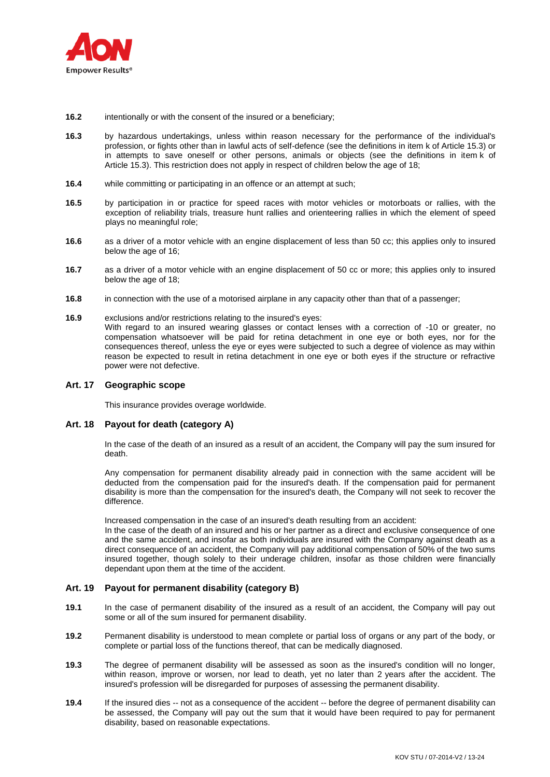

- **16.2** intentionally or with the consent of the insured or a beneficiary;
- **16.3** by hazardous undertakings, unless within reason necessary for the performance of the individual's profession, or fights other than in lawful acts of self-defence (see the definitions in item k of Article 15.3) or in attempts to save oneself or other persons, animals or objects (see the definitions in item k of Article 15.3). This restriction does not apply in respect of children below the age of 18;
- **16.4** while committing or participating in an offence or an attempt at such;
- **16.5** by participation in or practice for speed races with motor vehicles or motorboats or rallies, with the exception of reliability trials, treasure hunt rallies and orienteering rallies in which the element of speed plays no meaningful role;
- **16.6** as a driver of a motor vehicle with an engine displacement of less than 50 cc; this applies only to insured below the age of 16;
- **16.7** as a driver of a motor vehicle with an engine displacement of 50 cc or more; this applies only to insured below the age of 18;
- **16.8** in connection with the use of a motorised airplane in any capacity other than that of a passenger;
- **16.9** exclusions and/or restrictions relating to the insured's eyes: With regard to an insured wearing glasses or contact lenses with a correction of -10 or greater, no compensation whatsoever will be paid for retina detachment in one eye or both eyes, nor for the consequences thereof, unless the eye or eyes were subjected to such a degree of violence as may within reason be expected to result in retina detachment in one eye or both eyes if the structure or refractive power were not defective.

## **Art. 17 Geographic scope**

This insurance provides overage worldwide.

## **Art. 18 Payout for death (category A)**

In the case of the death of an insured as a result of an accident, the Company will pay the sum insured for death.

Any compensation for permanent disability already paid in connection with the same accident will be deducted from the compensation paid for the insured's death. If the compensation paid for permanent disability is more than the compensation for the insured's death, the Company will not seek to recover the difference.

Increased compensation in the case of an insured's death resulting from an accident:

In the case of the death of an insured and his or her partner as a direct and exclusive consequence of one and the same accident, and insofar as both individuals are insured with the Company against death as a direct consequence of an accident, the Company will pay additional compensation of 50% of the two sums insured together, though solely to their underage children, insofar as those children were financially dependant upon them at the time of the accident.

## **Art. 19 Payout for permanent disability (category B)**

- **19.1** In the case of permanent disability of the insured as a result of an accident, the Company will pay out some or all of the sum insured for permanent disability.
- **19.2** Permanent disability is understood to mean complete or partial loss of organs or any part of the body, or complete or partial loss of the functions thereof, that can be medically diagnosed.
- **19.3** The degree of permanent disability will be assessed as soon as the insured's condition will no longer, within reason, improve or worsen, nor lead to death, yet no later than 2 years after the accident. The insured's profession will be disregarded for purposes of assessing the permanent disability.
- **19.4** If the insured dies -- not as a consequence of the accident -- before the degree of permanent disability can be assessed, the Company will pay out the sum that it would have been required to pay for permanent disability, based on reasonable expectations.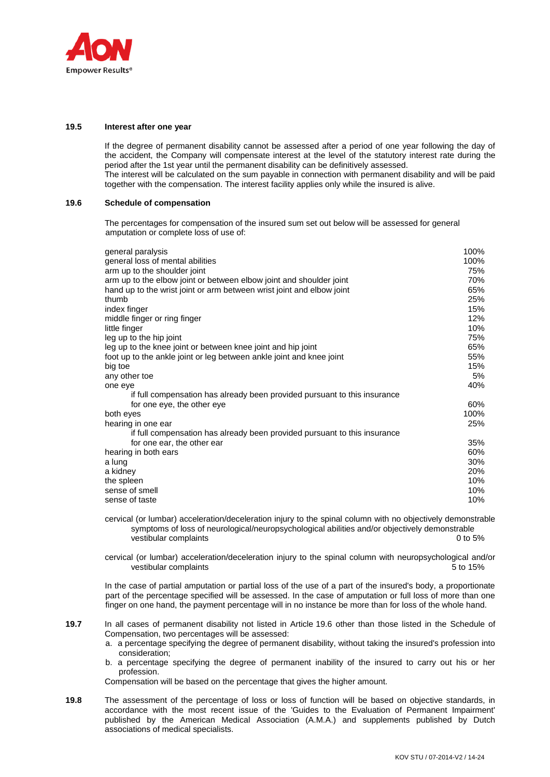

### **19.5 Interest after one year**

If the degree of permanent disability cannot be assessed after a period of one year following the day of the accident, the Company will compensate interest at the level of the statutory interest rate during the period after the 1st year until the permanent disability can be definitively assessed. The interest will be calculated on the sum payable in connection with permanent disability and will be paid together with the compensation. The interest facility applies only while the insured is alive.

### **19.6 Schedule of compensation**

The percentages for compensation of the insured sum set out below will be assessed for general amputation or complete loss of use of:

| general paralysis<br>general loss of mental abilities<br>arm up to the shoulder joint<br>arm up to the elbow joint or between elbow joint and shoulder joint<br>hand up to the wrist joint or arm between wrist joint and elbow joint<br>thumb<br>index finger<br>middle finger or ring finger<br>little finger<br>leg up to the hip joint<br>leg up to the knee joint or between knee joint and hip joint<br>foot up to the ankle joint or leg between ankle joint and knee joint<br>big toe<br>any other toe | 100%<br>100%<br>75%<br>70%<br>65%<br>25%<br>15%<br>12%<br>10%<br>75%<br>65%<br>55%<br>15%<br>5% |
|----------------------------------------------------------------------------------------------------------------------------------------------------------------------------------------------------------------------------------------------------------------------------------------------------------------------------------------------------------------------------------------------------------------------------------------------------------------------------------------------------------------|-------------------------------------------------------------------------------------------------|
| one eye<br>if full compensation has already been provided pursuant to this insurance                                                                                                                                                                                                                                                                                                                                                                                                                           | 40%                                                                                             |
| for one eye, the other eye                                                                                                                                                                                                                                                                                                                                                                                                                                                                                     | 60%                                                                                             |
| both eyes                                                                                                                                                                                                                                                                                                                                                                                                                                                                                                      | 100%                                                                                            |
| hearing in one ear                                                                                                                                                                                                                                                                                                                                                                                                                                                                                             | 25%                                                                                             |
| if full compensation has already been provided pursuant to this insurance                                                                                                                                                                                                                                                                                                                                                                                                                                      |                                                                                                 |
| for one ear, the other ear<br>hearing in both ears                                                                                                                                                                                                                                                                                                                                                                                                                                                             | 35%<br>60%                                                                                      |
| a lung<br>a kidney<br>the spleen<br>sense of smell<br>sense of taste                                                                                                                                                                                                                                                                                                                                                                                                                                           | 30%<br>20%<br>10%<br>10%<br>10%                                                                 |

cervical (or lumbar) acceleration/deceleration injury to the spinal column with no objectively demonstrable symptoms of loss of neurological/neuropsychological abilities and/or objectively demonstrable vestibular complaints 0 to 5%

cervical (or lumbar) acceleration/deceleration injury to the spinal column with neuropsychological and/or vestibular complaints **5** to 15%

In the case of partial amputation or partial loss of the use of a part of the insured's body, a proportionate part of the percentage specified will be assessed. In the case of amputation or full loss of more than one finger on one hand, the payment percentage will in no instance be more than for loss of the whole hand.

- **19.7** In all cases of permanent disability not listed in Article 19.6 other than those listed in the Schedule of Compensation, two percentages will be assessed:
	- a. a percentage specifying the degree of permanent disability, without taking the insured's profession into consideration;
	- b. a percentage specifying the degree of permanent inability of the insured to carry out his or her profession.

Compensation will be based on the percentage that gives the higher amount.

**19.8** The assessment of the percentage of loss or loss of function will be based on objective standards, in accordance with the most recent issue of the 'Guides to the Evaluation of Permanent Impairment' published by the American Medical Association (A.M.A.) and supplements published by Dutch associations of medical specialists.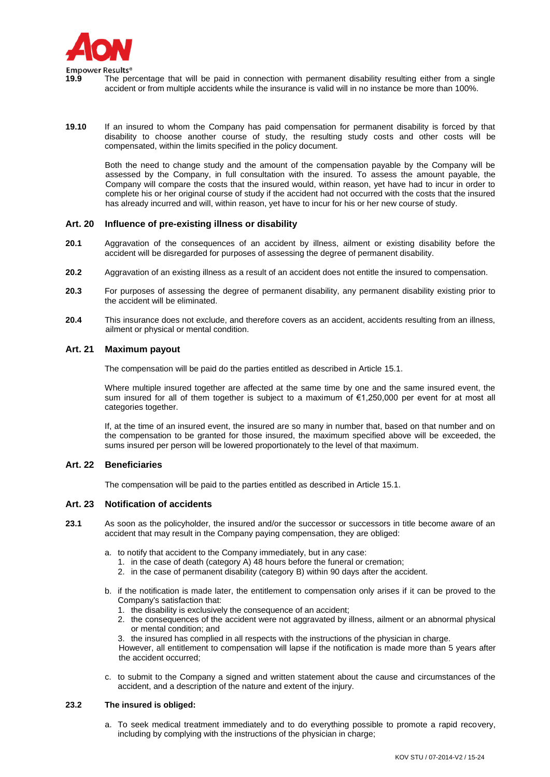

- **19.9** The percentage that will be paid in connection with permanent disability resulting either from a single accident or from multiple accidents while the insurance is valid will in no instance be more than 100%.
- **19.10** If an insured to whom the Company has paid compensation for permanent disability is forced by that disability to choose another course of study, the resulting study costs and other costs will be compensated, within the limits specified in the policy document.

Both the need to change study and the amount of the compensation payable by the Company will be assessed by the Company, in full consultation with the insured. To assess the amount payable, the Company will compare the costs that the insured would, within reason, yet have had to incur in order to complete his or her original course of study if the accident had not occurred with the costs that the insured has already incurred and will, within reason, yet have to incur for his or her new course of study.

### **Art. 20 Influence of pre-existing illness or disability**

- **20.1** Aggravation of the consequences of an accident by illness, ailment or existing disability before the accident will be disregarded for purposes of assessing the degree of permanent disability.
- **20.2** Aggravation of an existing illness as a result of an accident does not entitle the insured to compensation.
- **20.3** For purposes of assessing the degree of permanent disability, any permanent disability existing prior to the accident will be eliminated.
- **20.4** This insurance does not exclude, and therefore covers as an accident, accidents resulting from an illness, ailment or physical or mental condition.

### **Art. 21 Maximum payout**

The compensation will be paid do the parties entitled as described in Article 15.1.

Where multiple insured together are affected at the same time by one and the same insured event, the sum insured for all of them together is subject to a maximum of €1,250,000 per event for at most all categories together.

If, at the time of an insured event, the insured are so many in number that, based on that number and on the compensation to be granted for those insured, the maximum specified above will be exceeded, the sums insured per person will be lowered proportionately to the level of that maximum.

## **Art. 22 Beneficiaries**

The compensation will be paid to the parties entitled as described in Article 15.1.

### **Art. 23 Notification of accidents**

- **23.1** As soon as the policyholder, the insured and/or the successor or successors in title become aware of an accident that may result in the Company paying compensation, they are obliged:
	- a. to notify that accident to the Company immediately, but in any case:
		- 1. in the case of death (category A) 48 hours before the funeral or cremation;
		- 2. in the case of permanent disability (category B) within 90 days after the accident.
	- b. if the notification is made later, the entitlement to compensation only arises if it can be proved to the Company's satisfaction that:
		- 1. the disability is exclusively the consequence of an accident;
		- 2. the consequences of the accident were not aggravated by illness, ailment or an abnormal physical or mental condition; and
		- 3. the insured has complied in all respects with the instructions of the physician in charge.

However, all entitlement to compensation will lapse if the notification is made more than 5 years after the accident occurred;

c. to submit to the Company a signed and written statement about the cause and circumstances of the accident, and a description of the nature and extent of the injury.

### **23.2 The insured is obliged:**

a. To seek medical treatment immediately and to do everything possible to promote a rapid recovery, including by complying with the instructions of the physician in charge;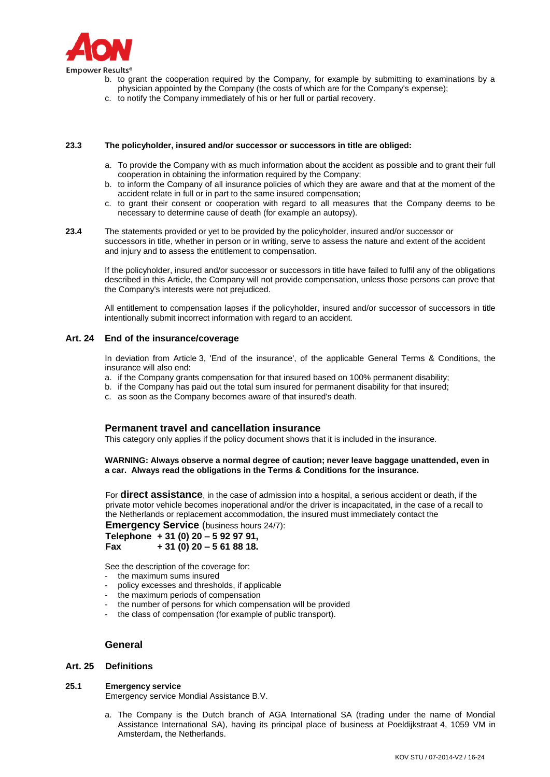

- b. to grant the cooperation required by the Company, for example by submitting to examinations by a physician appointed by the Company (the costs of which are for the Company's expense);
	- c. to notify the Company immediately of his or her full or partial recovery.

#### **23.3 The policyholder, insured and/or successor or successors in title are obliged:**

- a. To provide the Company with as much information about the accident as possible and to grant their full cooperation in obtaining the information required by the Company;
- b. to inform the Company of all insurance policies of which they are aware and that at the moment of the accident relate in full or in part to the same insured compensation;
- c. to grant their consent or cooperation with regard to all measures that the Company deems to be necessary to determine cause of death (for example an autopsy).
- **23.4** The statements provided or yet to be provided by the policyholder, insured and/or successor or successors in title, whether in person or in writing, serve to assess the nature and extent of the accident and injury and to assess the entitlement to compensation.

If the policyholder, insured and/or successor or successors in title have failed to fulfil any of the obligations described in this Article, the Company will not provide compensation, unless those persons can prove that the Company's interests were not prejudiced.

All entitlement to compensation lapses if the policyholder, insured and/or successor of successors in title intentionally submit incorrect information with regard to an accident.

### **Art. 24 End of the insurance/coverage**

In deviation from Article 3, 'End of the insurance', of the applicable General Terms & Conditions, the insurance will also end:

- a. if the Company grants compensation for that insured based on 100% permanent disability;
- b. if the Company has paid out the total sum insured for permanent disability for that insured;
- c. as soon as the Company becomes aware of that insured's death.

## **Permanent travel and cancellation insurance**

This category only applies if the policy document shows that it is included in the insurance.

### **WARNING: Always observe a normal degree of caution; never leave baggage unattended, even in a car. Always read the obligations in the Terms & Conditions for the insurance.**

For **direct assistance**, in the case of admission into a hospital, a serious accident or death, if the private motor vehicle becomes inoperational and/or the driver is incapacitated, in the case of a recall to the Netherlands or replacement accommodation, the insured must immediately contact the

**Emergency Service** (business hours 24/7):

**Telephone + 31 (0) 20 – 5 92 97 91, Fax + 31 (0) 20 – 5 61 88 18.**

See the description of the coverage for:

- the maximum sums insured
- policy excesses and thresholds, if applicable
- the maximum periods of compensation
- the number of persons for which compensation will be provided
- the class of compensation (for example of public transport).

## **General**

### **Art. 25 Definitions**

### **25.1 Emergency service**

Emergency service Mondial Assistance B.V.

a. The Company is the Dutch branch of AGA International SA (trading under the name of Mondial Assistance International SA), having its principal place of business at Poeldijkstraat 4, 1059 VM in Amsterdam, the Netherlands.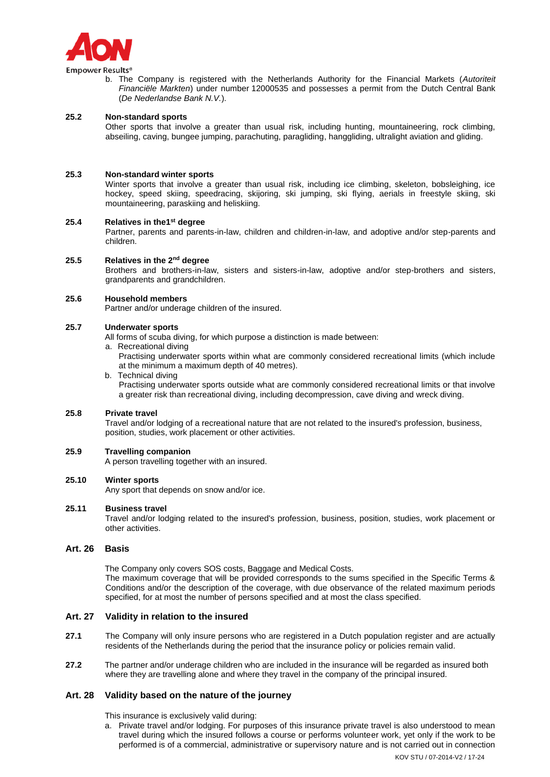

**Empower Results®** 

b. The Company is registered with the Netherlands Authority for the Financial Markets (*Autoriteit Financiële Markten*) under number 12000535 and possesses a permit from the Dutch Central Bank (*De Nederlandse Bank N.V.*).

#### **25.2 Non-standard sports**

Other sports that involve a greater than usual risk, including hunting, mountaineering, rock climbing, abseiling, caving, bungee jumping, parachuting, paragliding, hanggliding, ultralight aviation and gliding.

#### **25.3 Non-standard winter sports**

Winter sports that involve a greater than usual risk, including ice climbing, skeleton, bobsleighing, ice hockey, speed skiing, speedracing, skijoring, ski jumping, ski flying, aerials in freestyle skiing, ski mountaineering, paraskiing and heliskiing.

#### **25.4 Relatives in the1st degree**

Partner, parents and parents-in-law, children and children-in-law, and adoptive and/or step-parents and children.

#### **25.5 Relatives in the 2nd degree**

Brothers and brothers-in-law, sisters and sisters-in-law, adoptive and/or step-brothers and sisters, grandparents and grandchildren.

#### **25.6 Household members**

Partner and/or underage children of the insured.

### **25.7 Underwater sports**

All forms of scuba diving, for which purpose a distinction is made between:

a. Recreational diving

Practising underwater sports within what are commonly considered recreational limits (which include at the minimum a maximum depth of 40 metres).

b. Technical diving Practising underwater sports outside what are commonly considered recreational limits or that involve a greater risk than recreational diving, including decompression, cave diving and wreck diving.

### **25.8 Private travel**

Travel and/or lodging of a recreational nature that are not related to the insured's profession, business, position, studies, work placement or other activities.

#### **25.9 Travelling companion**

A person travelling together with an insured.

### **25.10 Winter sports**

Any sport that depends on snow and/or ice.

### **25.11 Business travel**

Travel and/or lodging related to the insured's profession, business, position, studies, work placement or other activities.

### **Art. 26 Basis**

The Company only covers SOS costs, Baggage and Medical Costs. The maximum coverage that will be provided corresponds to the sums specified in the Specific Terms & Conditions and/or the description of the coverage, with due observance of the related maximum periods specified, for at most the number of persons specified and at most the class specified.

### **Art. 27 Validity in relation to the insured**

- **27.1** The Company will only insure persons who are registered in a Dutch population register and are actually residents of the Netherlands during the period that the insurance policy or policies remain valid.
- **27.2** The partner and/or underage children who are included in the insurance will be regarded as insured both where they are travelling alone and where they travel in the company of the principal insured.

### **Art. 28 Validity based on the nature of the journey**

This insurance is exclusively valid during:

a. Private travel and/or lodging. For purposes of this insurance private travel is also understood to mean travel during which the insured follows a course or performs volunteer work, yet only if the work to be performed is of a commercial, administrative or supervisory nature and is not carried out in connection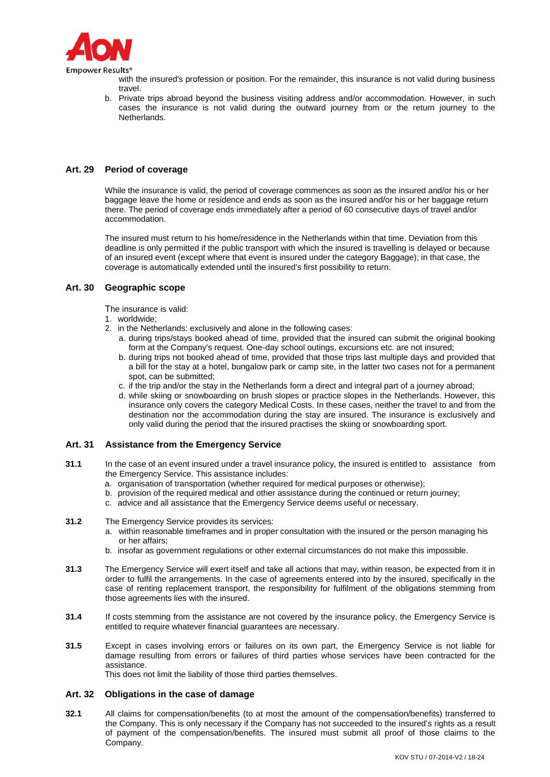

with the insured's profession or position. For the remainder, this insurance is not valid during business travel.

b. Private trips abroad beyond the business visiting address and/or accommodation. However, in such cases the insurance is not valid during the outward journey from or the return journey to the Netherlands.

# **Art. 29 Period of coverage**

While the insurance is valid, the period of coverage commences as soon as the insured and/or his or her baggage leave the home or residence and ends as soon as the insured and/or his or her baggage return there. The period of coverage ends immediately after a period of 60 consecutive days of travel and/or accommodation.

The insured must return to his home/residence in the Netherlands within that time. Deviation from this deadline is only permitted if the public transport with which the insured is travelling is delayed or because of an insured event (except where that event is insured under the category Baggage); in that case, the coverage is automatically extended until the insured's first possibility to return.

# **Art. 30 Geographic scope**

The insurance is valid:

- 1. worldwide;
- 2. in the Netherlands: exclusively and alone in the following cases:
	- a. during trips/stays booked ahead of time, provided that the insured can submit the original booking form at the Company's request. One-day school outings, excursions etc. are not insured;
	- b. during trips not booked ahead of time, provided that those trips last multiple days and provided that a bill for the stay at a hotel, bungalow park or camp site, in the latter two cases not for a permanent spot, can be submitted;
	- c. if the trip and/or the stay in the Netherlands form a direct and integral part of a journey abroad;
	- d. while skiing or snowboarding on brush slopes or practice slopes in the Netherlands. However, this insurance only covers the category Medical Costs. In these cases, neither the travel to and from the destination nor the accommodation during the stay are insured. The insurance is exclusively and only valid during the period that the insured practises the skiing or snowboarding sport.

# **Art. 31 Assistance from the Emergency Service**

- **31.1** In the case of an event insured under a travel insurance policy, the insured is entitled to assistance from the Emergency Service. This assistance includes:
	- a. organisation of transportation (whether required for medical purposes or otherwise);
	- b. provision of the required medical and other assistance during the continued or return journey;
	- c. advice and all assistance that the Emergency Service deems useful or necessary.
- **31.2** The Emergency Service provides its services:
	- a. within reasonable timeframes and in proper consultation with the insured or the person managing his or her affairs;
	- b. insofar as government regulations or other external circumstances do not make this impossible.
- **31.3** The Emergency Service will exert itself and take all actions that may, within reason, be expected from it in order to fulfil the arrangements. In the case of agreements entered into by the insured, specifically in the case of renting replacement transport, the responsibility for fulfilment of the obligations stemming from those agreements lies with the insured.
- **31.4** If costs stemming from the assistance are not covered by the insurance policy, the Emergency Service is entitled to require whatever financial guarantees are necessary.
- **31.5** Except in cases involving errors or failures on its own part, the Emergency Service is not liable for damage resulting from errors or failures of third parties whose services have been contracted for the assistance.

This does not limit the liability of those third parties themselves.

## **Art. 32 Obligations in the case of damage**

**32.1** All claims for compensation/benefits (to at most the amount of the compensation/benefits) transferred to the Company. This is only necessary if the Company has not succeeded to the insured's rights as a result of payment of the compensation/benefits. The insured must submit all proof of those claims to the Company.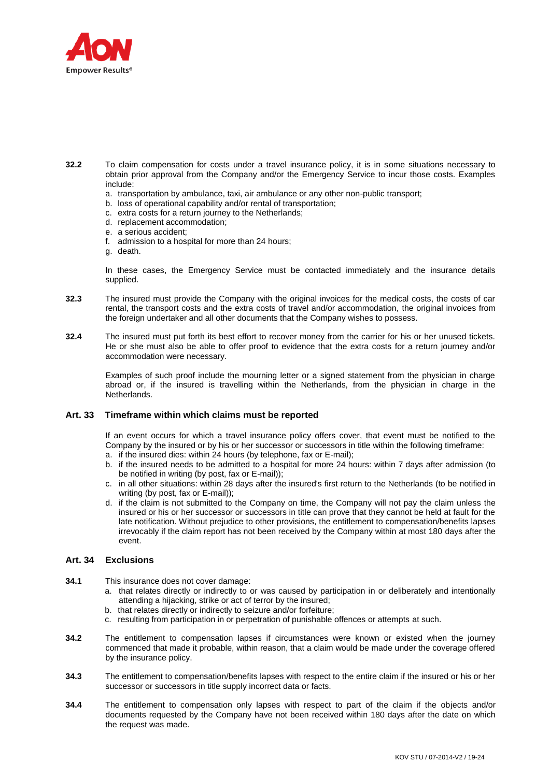

- **32.2** To claim compensation for costs under a travel insurance policy, it is in some situations necessary to obtain prior approval from the Company and/or the Emergency Service to incur those costs. Examples include:
	- a. transportation by ambulance, taxi, air ambulance or any other non-public transport;
	- b. loss of operational capability and/or rental of transportation;
	- c. extra costs for a return journey to the Netherlands;
	- d. replacement accommodation;
	- e. a serious accident;
	- f. admission to a hospital for more than 24 hours;
	- g. death.

In these cases, the Emergency Service must be contacted immediately and the insurance details supplied.

- **32.3** The insured must provide the Company with the original invoices for the medical costs, the costs of car rental, the transport costs and the extra costs of travel and/or accommodation, the original invoices from the foreign undertaker and all other documents that the Company wishes to possess.
- **32.4** The insured must put forth its best effort to recover money from the carrier for his or her unused tickets. He or she must also be able to offer proof to evidence that the extra costs for a return journey and/or accommodation were necessary.

Examples of such proof include the mourning letter or a signed statement from the physician in charge abroad or, if the insured is travelling within the Netherlands, from the physician in charge in the Netherlands.

### **Art. 33 Timeframe within which claims must be reported**

If an event occurs for which a travel insurance policy offers cover, that event must be notified to the Company by the insured or by his or her successor or successors in title within the following timeframe:

- a. if the insured dies: within 24 hours (by telephone, fax or E-mail);
- b. if the insured needs to be admitted to a hospital for more 24 hours: within 7 days after admission (to be notified in writing (by post, fax or E-mail));
- c. in all other situations: within 28 days after the insured's first return to the Netherlands (to be notified in writing (by post, fax or E-mail));
- d. if the claim is not submitted to the Company on time, the Company will not pay the claim unless the insured or his or her successor or successors in title can prove that they cannot be held at fault for the late notification. Without prejudice to other provisions, the entitlement to compensation/benefits lapses irrevocably if the claim report has not been received by the Company within at most 180 days after the event.

# **Art. 34 Exclusions**

- **34.1** This insurance does not cover damage:
	- a. that relates directly or indirectly to or was caused by participation in or deliberately and intentionally attending a hijacking, strike or act of terror by the insured;
	- b. that relates directly or indirectly to seizure and/or forfeiture;
	- c. resulting from participation in or perpetration of punishable offences or attempts at such.
- **34.2** The entitlement to compensation lapses if circumstances were known or existed when the journey commenced that made it probable, within reason, that a claim would be made under the coverage offered by the insurance policy.
- **34.3** The entitlement to compensation/benefits lapses with respect to the entire claim if the insured or his or her successor or successors in title supply incorrect data or facts.
- **34.4** The entitlement to compensation only lapses with respect to part of the claim if the objects and/or documents requested by the Company have not been received within 180 days after the date on which the request was made.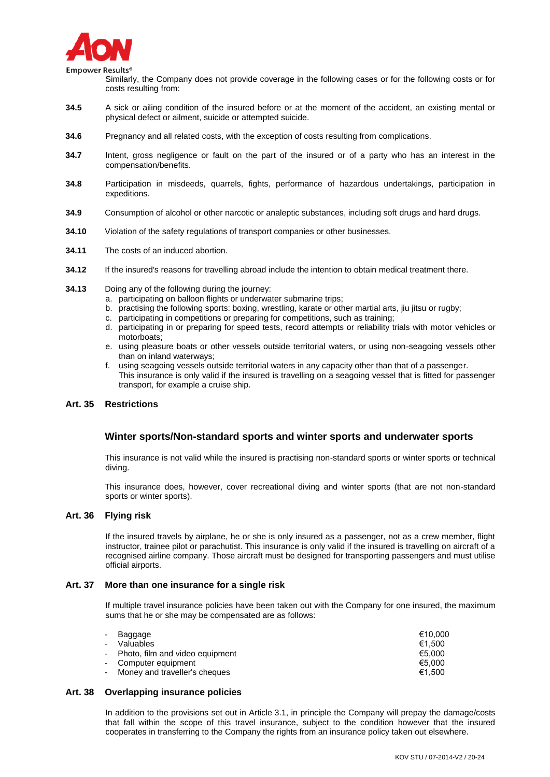

Empower Results<sup>®</sup>

Similarly, the Company does not provide coverage in the following cases or for the following costs or for costs resulting from:

- **34.5** A sick or ailing condition of the insured before or at the moment of the accident, an existing mental or physical defect or ailment, suicide or attempted suicide.
- **34.6** Pregnancy and all related costs, with the exception of costs resulting from complications.
- **34.7** Intent, gross negligence or fault on the part of the insured or of a party who has an interest in the compensation/benefits.
- **34.8** Participation in misdeeds, quarrels, fights, performance of hazardous undertakings, participation in expeditions.
- **34.9** Consumption of alcohol or other narcotic or analeptic substances, including soft drugs and hard drugs.
- **34.10** Violation of the safety regulations of transport companies or other businesses.
- **34.11** The costs of an induced abortion.
- **34.12** If the insured's reasons for travelling abroad include the intention to obtain medical treatment there.
- **34.13** Doing any of the following during the journey:
	- a. participating on balloon flights or underwater submarine trips;
	- b. practising the following sports: boxing, wrestling, karate or other martial arts, jiu jitsu or rugby;
	- c. participating in competitions or preparing for competitions, such as training;
	- d. participating in or preparing for speed tests, record attempts or reliability trials with motor vehicles or motorboats;
	- e. using pleasure boats or other vessels outside territorial waters, or using non-seagoing vessels other than on inland waterways;
	- f. using seagoing vessels outside territorial waters in any capacity other than that of a passenger. This insurance is only valid if the insured is travelling on a seagoing vessel that is fitted for passenger transport, for example a cruise ship.

### **Art. 35 Restrictions**

## **Winter sports/Non-standard sports and winter sports and underwater sports**

This insurance is not valid while the insured is practising non-standard sports or winter sports or technical diving.

This insurance does, however, cover recreational diving and winter sports (that are not non-standard sports or winter sports).

### **Art. 36 Flying risk**

If the insured travels by airplane, he or she is only insured as a passenger, not as a crew member, flight instructor, trainee pilot or parachutist. This insurance is only valid if the insured is travelling on aircraft of a recognised airline company. Those aircraft must be designed for transporting passengers and must utilise official airports.

### **Art. 37 More than one insurance for a single risk**

If multiple travel insurance policies have been taken out with the Company for one insured, the maximum sums that he or she may be compensated are as follows:

| Valuables<br>$\overline{\phantom{0}}$ | €10.000<br>€1.500 |
|---------------------------------------|-------------------|
|                                       |                   |
| - Photo, film and video equipment     | €5.000            |
| - Computer equipment                  | €5.000            |
| - Money and traveller's cheques       | €1.500            |

## **Art. 38 Overlapping insurance policies**

In addition to the provisions set out in Article 3.1, in principle the Company will prepay the damage/costs that fall within the scope of this travel insurance, subject to the condition however that the insured cooperates in transferring to the Company the rights from an insurance policy taken out elsewhere.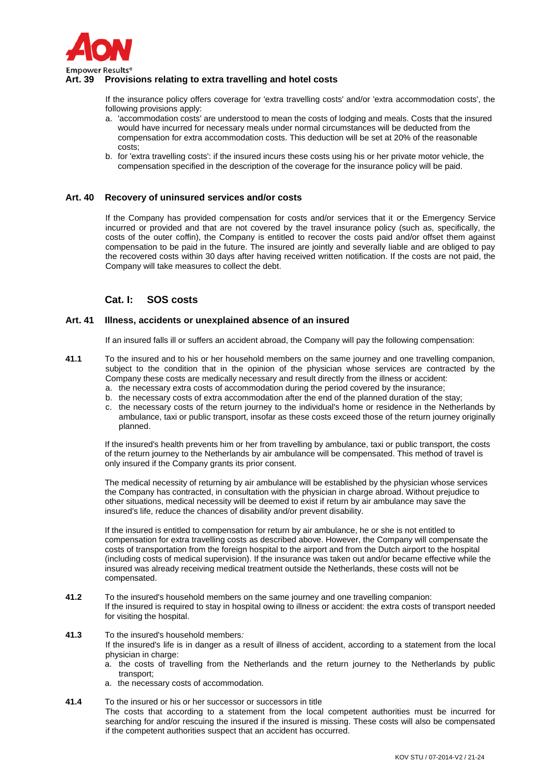

# **Art. 39 Provisions relating to extra travelling and hotel costs**

If the insurance policy offers coverage for 'extra travelling costs' and/or 'extra accommodation costs', the following provisions apply:

- a. 'accommodation costs' are understood to mean the costs of lodging and meals. Costs that the insured would have incurred for necessary meals under normal circumstances will be deducted from the compensation for extra accommodation costs. This deduction will be set at 20% of the reasonable costs;
- b. for 'extra travelling costs': if the insured incurs these costs using his or her private motor vehicle, the compensation specified in the description of the coverage for the insurance policy will be paid.

## **Art. 40 Recovery of uninsured services and/or costs**

If the Company has provided compensation for costs and/or services that it or the Emergency Service incurred or provided and that are not covered by the travel insurance policy (such as, specifically, the costs of the outer coffin), the Company is entitled to recover the costs paid and/or offset them against compensation to be paid in the future. The insured are jointly and severally liable and are obliged to pay the recovered costs within 30 days after having received written notification. If the costs are not paid, the Company will take measures to collect the debt.

# **Cat. I: SOS costs**

### **Art. 41 Illness, accidents or unexplained absence of an insured**

If an insured falls ill or suffers an accident abroad, the Company will pay the following compensation:

- **41.1** To the insured and to his or her household members on the same journey and one travelling companion, subject to the condition that in the opinion of the physician whose services are contracted by the Company these costs are medically necessary and result directly from the illness or accident:
	- a. the necessary extra costs of accommodation during the period covered by the insurance;
	- b. the necessary costs of extra accommodation after the end of the planned duration of the stay; c. the necessary costs of the return journey to the individual's home or residence in the Netherlands by
	- ambulance, taxi or public transport, insofar as these costs exceed those of the return journey originally planned.

If the insured's health prevents him or her from travelling by ambulance, taxi or public transport, the costs of the return journey to the Netherlands by air ambulance will be compensated. This method of travel is only insured if the Company grants its prior consent.

The medical necessity of returning by air ambulance will be established by the physician whose services the Company has contracted, in consultation with the physician in charge abroad. Without prejudice to other situations, medical necessity will be deemed to exist if return by air ambulance may save the insured's life, reduce the chances of disability and/or prevent disability.

If the insured is entitled to compensation for return by air ambulance, he or she is not entitled to compensation for extra travelling costs as described above. However, the Company will compensate the costs of transportation from the foreign hospital to the airport and from the Dutch airport to the hospital (including costs of medical supervision). If the insurance was taken out and/or became effective while the insured was already receiving medical treatment outside the Netherlands, these costs will not be compensated.

- **41.2** To the insured's household members on the same journey and one travelling companion: If the insured is required to stay in hospital owing to illness or accident: the extra costs of transport needed for visiting the hospital.
- **41.3** To the insured's household members*:*

If the insured's life is in danger as a result of illness of accident, according to a statement from the local physician in charge:

- a. the costs of travelling from the Netherlands and the return journey to the Netherlands by public transport;
- a. the necessary costs of accommodation.
- **41.4** To the insured or his or her successor or successors in title The costs that according to a statement from the local competent authorities must be incurred for searching for and/or rescuing the insured if the insured is missing. These costs will also be compensated if the competent authorities suspect that an accident has occurred.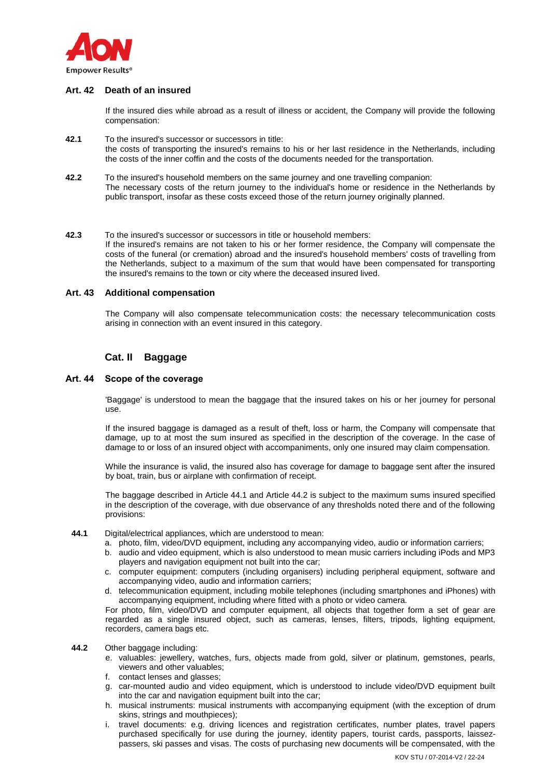

# **Art. 42 Death of an insured**

If the insured dies while abroad as a result of illness or accident, the Company will provide the following compensation:

- **42.1** To the insured's successor or successors in title: the costs of transporting the insured's remains to his or her last residence in the Netherlands, including the costs of the inner coffin and the costs of the documents needed for the transportation.
- **42.2** To the insured's household members on the same journey and one travelling companion: The necessary costs of the return journey to the individual's home or residence in the Netherlands by public transport, insofar as these costs exceed those of the return journey originally planned.
- **42.3** To the insured's successor or successors in title or household members: If the insured's remains are not taken to his or her former residence, the Company will compensate the costs of the funeral (or cremation) abroad and the insured's household members' costs of travelling from the Netherlands, subject to a maximum of the sum that would have been compensated for transporting the insured's remains to the town or city where the deceased insured lived.

### **Art. 43 Additional compensation**

The Company will also compensate telecommunication costs: the necessary telecommunication costs arising in connection with an event insured in this category.

# **Cat. II Baggage**

## **Art. 44 Scope of the coverage**

'Baggage' is understood to mean the baggage that the insured takes on his or her journey for personal use.

If the insured baggage is damaged as a result of theft, loss or harm, the Company will compensate that damage, up to at most the sum insured as specified in the description of the coverage. In the case of damage to or loss of an insured object with accompaniments, only one insured may claim compensation.

While the insurance is valid, the insured also has coverage for damage to baggage sent after the insured by boat, train, bus or airplane with confirmation of receipt.

The baggage described in Article 44.1 and Article 44.2 is subject to the maximum sums insured specified in the description of the coverage, with due observance of any thresholds noted there and of the following provisions:

- **44.1** Digital/electrical appliances, which are understood to mean:
	- a. photo, film, video/DVD equipment, including any accompanying video, audio or information carriers;
	- b. audio and video equipment, which is also understood to mean music carriers including iPods and MP3 players and navigation equipment not built into the car;
	- c. computer equipment: computers (including organisers) including peripheral equipment, software and accompanying video, audio and information carriers;
	- d. telecommunication equipment, including mobile telephones (including smartphones and iPhones) with accompanying equipment, including where fitted with a photo or video camera.

For photo, film, video/DVD and computer equipment, all objects that together form a set of gear are regarded as a single insured object, such as cameras, lenses, filters, tripods, lighting equipment, recorders, camera bags etc.

- **44.2** Other baggage including:
	- e. valuables: jewellery, watches, furs, objects made from gold, silver or platinum, gemstones, pearls, viewers and other valuables;
	- f. contact lenses and glasses;
	- g. car-mounted audio and video equipment, which is understood to include video/DVD equipment built into the car and navigation equipment built into the car;
	- h. musical instruments: musical instruments with accompanying equipment (with the exception of drum skins, strings and mouthpieces);
	- i. travel documents: e.g. driving licences and registration certificates, number plates, travel papers purchased specifically for use during the journey, identity papers, tourist cards, passports, laissezpassers, ski passes and visas. The costs of purchasing new documents will be compensated, with the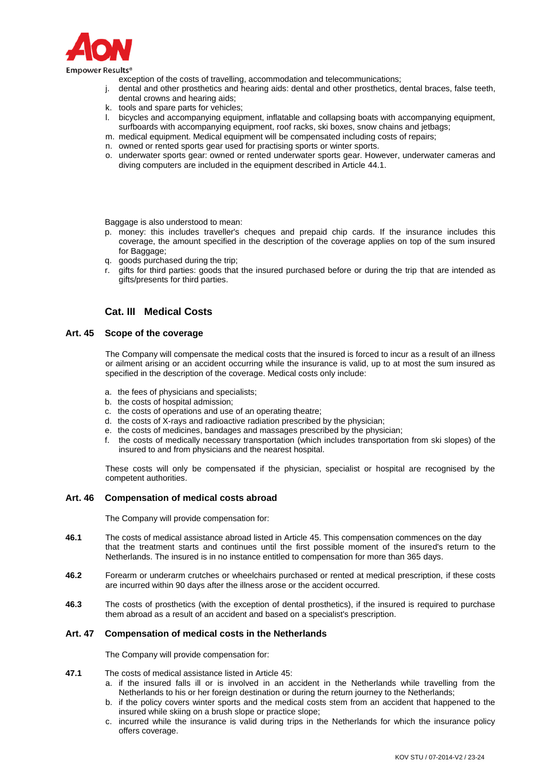

exception of the costs of travelling, accommodation and telecommunications;

- j. dental and other prosthetics and hearing aids: dental and other prosthetics, dental braces, false teeth, dental crowns and hearing aids;
- k. tools and spare parts for vehicles;
- l. bicycles and accompanying equipment, inflatable and collapsing boats with accompanying equipment, surfboards with accompanying equipment, roof racks, ski boxes, snow chains and jetbags;
- m. medical equipment. Medical equipment will be compensated including costs of repairs;
- n. owned or rented sports gear used for practising sports or winter sports.
- o. underwater sports gear: owned or rented underwater sports gear. However, underwater cameras and diving computers are included in the equipment described in Article 44.1.

Baggage is also understood to mean:

- p. money: this includes traveller's cheques and prepaid chip cards. If the insurance includes this coverage, the amount specified in the description of the coverage applies on top of the sum insured for Baggage;
- q. goods purchased during the trip;
- r. gifts for third parties: goods that the insured purchased before or during the trip that are intended as gifts/presents for third parties.

# **Cat. III Medical Costs**

## **Art. 45 Scope of the coverage**

The Company will compensate the medical costs that the insured is forced to incur as a result of an illness or ailment arising or an accident occurring while the insurance is valid, up to at most the sum insured as specified in the description of the coverage. Medical costs only include:

- a. the fees of physicians and specialists;
- b. the costs of hospital admission;
- c. the costs of operations and use of an operating theatre;
- d. the costs of X-rays and radioactive radiation prescribed by the physician;
- e. the costs of medicines, bandages and massages prescribed by the physician;
- f. the costs of medically necessary transportation (which includes transportation from ski slopes) of the insured to and from physicians and the nearest hospital.

These costs will only be compensated if the physician, specialist or hospital are recognised by the competent authorities.

## **Art. 46 Compensation of medical costs abroad**

The Company will provide compensation for:

- **46.1** The costs of medical assistance abroad listed in Article 45. This compensation commences on the day that the treatment starts and continues until the first possible moment of the insured's return to the Netherlands. The insured is in no instance entitled to compensation for more than 365 days.
- **46.2** Forearm or underarm crutches or wheelchairs purchased or rented at medical prescription, if these costs are incurred within 90 days after the illness arose or the accident occurred.
- **46.3** The costs of prosthetics (with the exception of dental prosthetics), if the insured is required to purchase them abroad as a result of an accident and based on a specialist's prescription.

### **Art. 47 Compensation of medical costs in the Netherlands**

The Company will provide compensation for:

- **47.1** The costs of medical assistance listed in Article 45:
	- a. if the insured falls ill or is involved in an accident in the Netherlands while travelling from the Netherlands to his or her foreign destination or during the return journey to the Netherlands;
	- b. if the policy covers winter sports and the medical costs stem from an accident that happened to the insured while skiing on a brush slope or practice slope;
	- c. incurred while the insurance is valid during trips in the Netherlands for which the insurance policy offers coverage.